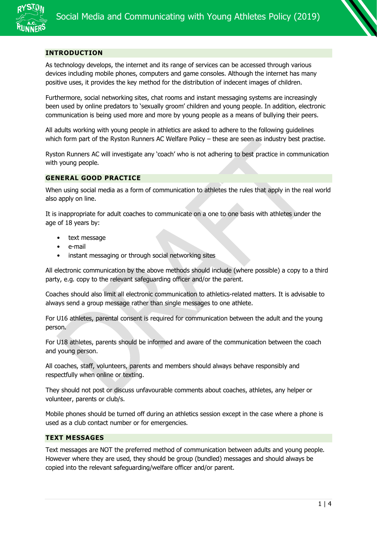

### **INTRODUCTION**

As technology develops, the internet and its range of services can be accessed through various devices including mobile phones, computers and game consoles. Although the internet has many positive uses, it provides the key method for the distribution of indecent images of children.

Furthermore, social networking sites, chat rooms and instant messaging systems are increasingly been used by online predators to 'sexually groom' children and young people. In addition, electronic communication is being used more and more by young people as a means of bullying their peers.

All adults working with young people in athletics are asked to adhere to the following guidelines which form part of the Ryston Runners AC Welfare Policy – these are seen as industry best practise.

Ryston Runners AC will investigate any 'coach' who is not adhering to best practice in communication with young people.

#### **GENERAL GOOD PRACTICE**

When using social media as a form of communication to athletes the rules that apply in the real world also apply on line.

It is inappropriate for adult coaches to communicate on a one to one basis with athletes under the age of 18 years by:

- text message
- e-mail
- instant messaging or through social networking sites

All electronic communication by the above methods should include (where possible) a copy to a third party, e.g. copy to the relevant safeguarding officer and/or the parent.

Coaches should also limit all electronic communication to athletics-related matters. It is advisable to always send a group message rather than single messages to one athlete.

For U16 athletes, parental consent is required for communication between the adult and the young person.

For U18 athletes, parents should be informed and aware of the communication between the coach and young person.

All coaches, staff, volunteers, parents and members should always behave responsibly and respectfully when online or texting.

They should not post or discuss unfavourable comments about coaches, athletes, any helper or volunteer, parents or club/s.

Mobile phones should be turned off during an athletics session except in the case where a phone is used as a club contact number or for emergencies.

## **TEXT MESSAGES**

Text messages are NOT the preferred method of communication between adults and young people. However where they are used, they should be group (bundled) messages and should always be copied into the relevant safeguarding/welfare officer and/or parent.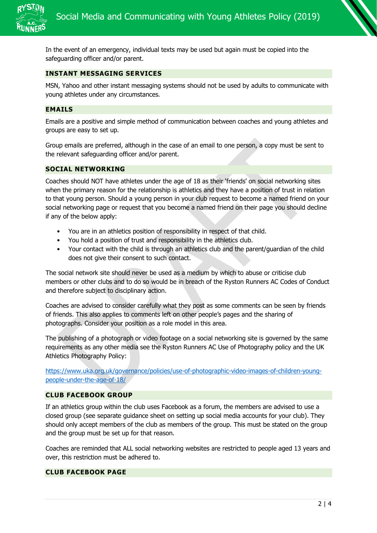

In the event of an emergency, individual texts may be used but again must be copied into the safeguarding officer and/or parent.

# **INSTANT MESSAGING SERVICES**

MSN, Yahoo and other instant messaging systems should not be used by adults to communicate with young athletes under any circumstances.

#### **EMAILS**

Emails are a positive and simple method of communication between coaches and young athletes and groups are easy to set up.

Group emails are preferred, although in the case of an email to one person, a copy must be sent to the relevant safeguarding officer and/or parent.

### **SOCIAL NETWORKING**

Coaches should NOT have athletes under the age of 18 as their 'friends' on social networking sites when the primary reason for the relationship is athletics and they have a position of trust in relation to that young person. Should a young person in your club request to become a named friend on your social networking page or request that you become a named friend on their page you should decline if any of the below apply:

- You are in an athletics position of responsibility in respect of that child.
- You hold a position of trust and responsibility in the athletics club.
- Your contact with the child is through an athletics club and the parent/guardian of the child does not give their consent to such contact.

The social network site should never be used as a medium by which to abuse or criticise club members or other clubs and to do so would be in breach of the Ryston Runners AC Codes of Conduct and therefore subject to disciplinary action.

Coaches are advised to consider carefully what they post as some comments can be seen by friends of friends. This also applies to comments left on other people's pages and the sharing of photographs. Consider your position as a role model in this area.

The publishing of a photograph or video footage on a social networking site is governed by the same requirements as any other media see the Ryston Runners AC Use of Photography policy and the UK Athletics Photography Policy:

[https://www.uka.org.uk/governance/policies/use-of-photographic-video-images-of-children-young](https://www.uka.org.uk/governance/policies/use-of-photographic-video-images-of-children-young-people-under-the-age-of-18/)[people-under-the-age-of-18/](https://www.uka.org.uk/governance/policies/use-of-photographic-video-images-of-children-young-people-under-the-age-of-18/)

## **CLUB FACEBOOK GROUP**

If an athletics group within the club uses Facebook as a forum, the members are advised to use a closed group (see separate guidance sheet on setting up social media accounts for your club). They should only accept members of the club as members of the group. This must be stated on the group and the group must be set up for that reason.

Coaches are reminded that ALL social networking websites are restricted to people aged 13 years and over, this restriction must be adhered to.

#### **CLUB FACEBOOK PAGE**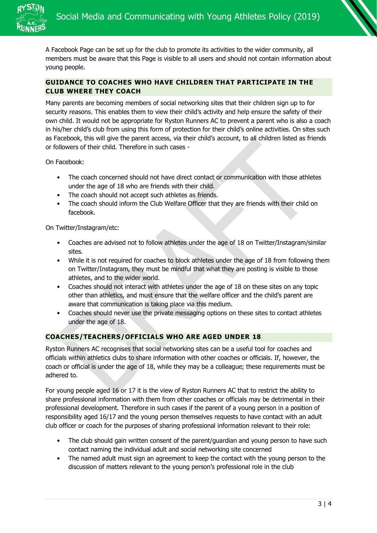

A Facebook Page can be set up for the club to promote its activities to the wider community, all members must be aware that this Page is visible to all users and should not contain information about young people.

# **GUIDANCE TO COACHES WHO HAVE CHILDREN THAT PARTICIPATE IN THE CLUB WHERE THEY COACH**

Many parents are becoming members of social networking sites that their children sign up to for security reasons. This enables them to view their child's activity and help ensure the safety of their own child. It would not be appropriate for Ryston Runners AC to prevent a parent who is also a coach in his/her child's club from using this form of protection for their child's online activities. On sites such as Facebook, this will give the parent access, via their child's account, to all children listed as friends or followers of their child. Therefore in such cases -

On Facebook:

- The coach concerned should not have direct contact or communication with those athletes under the age of 18 who are friends with their child.
- The coach should not accept such athletes as friends.
- The coach should inform the Club Welfare Officer that they are friends with their child on facebook.

On Twitter/Instagram/etc:

- Coaches are advised not to follow athletes under the age of 18 on Twitter/Instagram/similar sites.
- While it is not required for coaches to block athletes under the age of 18 from following them on Twitter/Instagram, they must be mindful that what they are posting is visible to those athletes, and to the wider world.
- Coaches should not interact with athletes under the age of 18 on these sites on any topic other than athletics, and must ensure that the welfare officer and the child's parent are aware that communication is taking place via this medium.
- Coaches should never use the private messaging options on these sites to contact athletes under the age of 18.

# **COACHES/TEACHERS/OFFICIALS WHO ARE AGED UNDER 18**

Ryston Runners AC recognises that social networking sites can be a useful tool for coaches and officials within athletics clubs to share information with other coaches or officials. If, however, the coach or official is under the age of 18, while they may be a colleague; these requirements must be adhered to.

For young people aged 16 or 17 it is the view of Ryston Runners AC that to restrict the ability to share professional information with them from other coaches or officials may be detrimental in their professional development. Therefore in such cases if the parent of a young person in a position of responsibility aged 16/17 and the young person themselves requests to have contact with an adult club officer or coach for the purposes of sharing professional information relevant to their role:

- The club should gain written consent of the parent/guardian and young person to have such contact naming the individual adult and social networking site concerned
- The named adult must sign an agreement to keep the contact with the young person to the discussion of matters relevant to the young person's professional role in the club